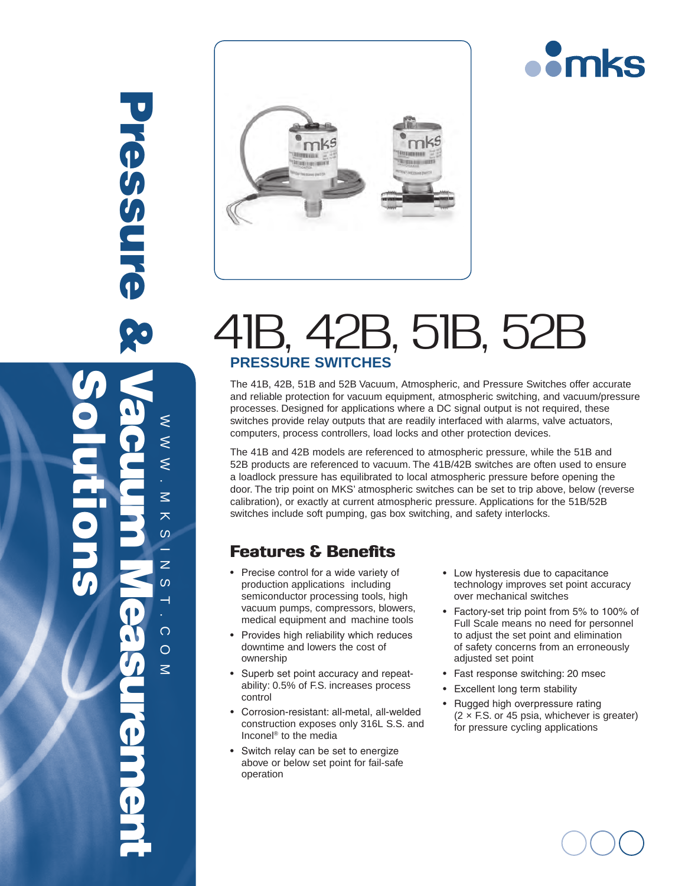



# 41B, 42B, 51B, 52B **Pressure Switches**

The 41B, 42B, 51B and 52B Vacuum, Atmospheric, and Pressure Switches offer accurate and reliable protection for vacuum equipment, atmospheric switching, and vacuum/pressure processes. Designed for applications where a DC signal output is not required, these switches provide relay outputs that are readily interfaced with alarms, valve actuators, computers, process controllers, load locks and other protection devices.

The 41B and 42B models are referenced to atmospheric pressure, while the 51B and 52B products are referenced to vacuum. The 41B/42B switches are often used to ensure a loadlock pressure has equilibrated to local atmospheric pressure before opening the door. The trip point on MKS' atmospheric switches can be set to trip above, below (reverse calibration), or exactly at current atmospheric pressure. Applications for the 51B/52B switches include soft pumping, gas box switching, and safety interlocks.

### Features & Benefits

 $\approx$   $\approx$ 

 $\leq$  $\leq$  $\overline{\epsilon}$ 

Pressure &

**Pressure** 

.

 $\leq$ 天  $\omega$ z.  $\mathsf{z}$  $\omega$ H

Solutions

M K S I N S I

.

Vacuum Measurement

com

- • Precise control for a wide variety of production applications including semiconductor processing tools, high vacuum pumps, compressors, blowers, medical equipment and machine tools
- • Provides high reliability which reduces downtime and lowers the cost of ownership
- Superb set point accuracy and repeatability: 0.5% of F.S. increases process control
- • Corrosion-resistant: all-metal, all-welded construction exposes only 316L S.S. and Inconel® to the media
- • Switch relay can be set to energize above or below set point for fail-safe operation
- • Low hysteresis due to capacitance technology improves set point accuracy over mechanical switches
- Factory-set trip point from 5% to 100% of Full Scale means no need for personnel to adjust the set point and elimination of safety concerns from an erroneously adjusted set point
- Fast response switching: 20 msec
- • Excellent long term stability
- Rugged high overpressure rating  $(2 \times F.S.$  or 45 psia, whichever is greater) for pressure cycling applications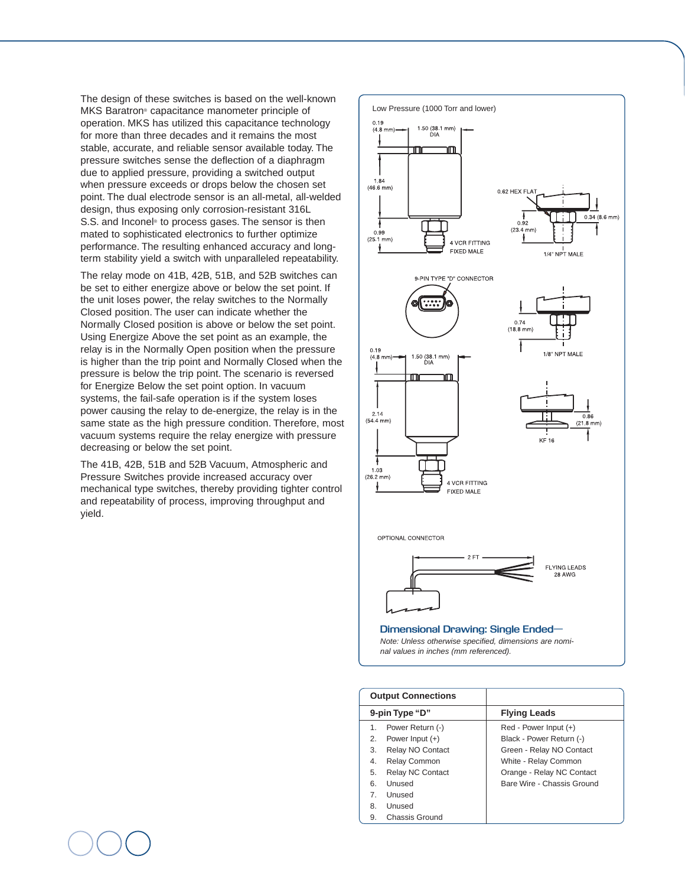The design of these switches is based on the well-known MKS Baratron® capacitance manometer principle of operation. MKS has utilized this capacitance technology for more than three decades and it remains the most stable, accurate, and reliable sensor available today. The pressure switches sense the deflection of a diaphragm due to applied pressure, providing a switched output when pressure exceeds or drops below the chosen set point. The dual electrode sensor is an all-metal, all-welded design, thus exposing only corrosion-resistant 316L S.S. and Inconel<sup>®</sup> to process gases. The sensor is then mated to sophisticated electronics to further optimize performance. The resulting enhanced accuracy and longterm stability yield a switch with unparalleled repeatability.

The relay mode on 41B, 42B, 51B, and 52B switches can be set to either energize above or below the set point. If the unit loses power, the relay switches to the Normally Closed position. The user can indicate whether the Normally Closed position is above or below the set point. Using Energize Above the set point as an example, the relay is in the Normally Open position when the pressure is higher than the trip point and Normally Closed when the pressure is below the trip point. The scenario is reversed for Energize Below the set point option. In vacuum systems, the fail-safe operation is if the system loses power causing the relay to de-energize, the relay is in the same state as the high pressure condition. Therefore, most vacuum systems require the relay energize with pressure decreasing or below the set point.

The 41B, 42B, 51B and 52B Vacuum, Atmospheric and Pressure Switches provide increased accuracy over mechanical type switches, thereby providing tighter control and repeatability of process, improving throughput and yield.



| <b>Output Connections</b> |                         |                            |
|---------------------------|-------------------------|----------------------------|
| 9-pin Type "D"            |                         | <b>Flying Leads</b>        |
| 1.                        | Power Return (-)        | $Red - Power Input (+)$    |
| 2.                        | Power Input $(+)$       | Black - Power Return (-)   |
| 3.                        | Relay NO Contact        | Green - Relay NO Contact   |
| 4.                        | <b>Relay Common</b>     | White - Relay Common       |
| 5.                        | <b>Relay NC Contact</b> | Orange - Relay NC Contact  |
| 6.                        | Unused                  | Bare Wire - Chassis Ground |
| 7                         | Unused                  |                            |
| 8.                        | Unused                  |                            |
| 9.                        | Chassis Ground          |                            |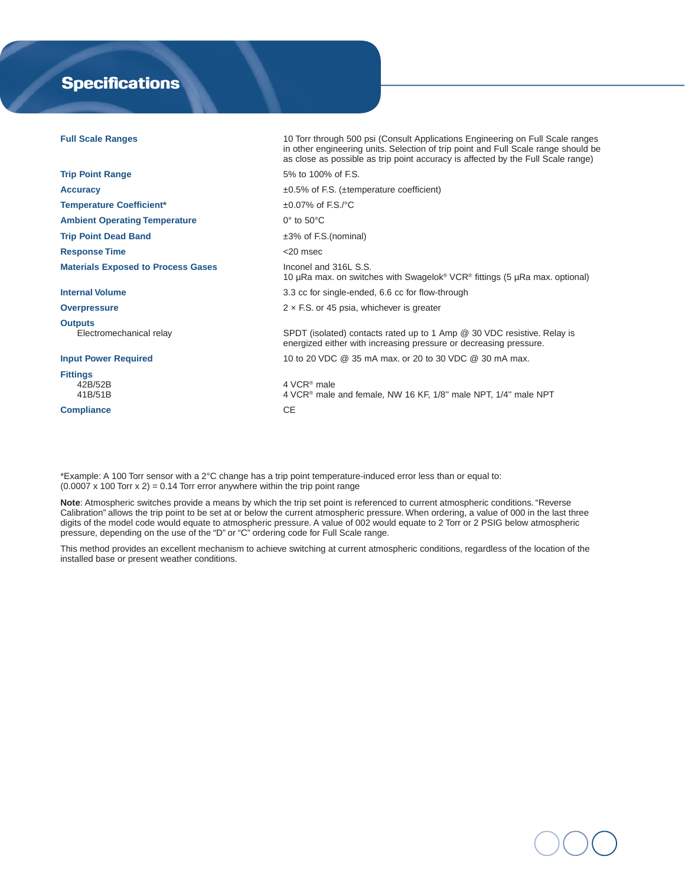## **Specifications**

| <b>Full Scale Ranges</b>                  | 10 Torr through 500 psi (Consult Applications Engineering on Full Scale ranges<br>in other engineering units. Selection of trip point and Full Scale range should be<br>as close as possible as trip point accuracy is affected by the Full Scale range) |
|-------------------------------------------|----------------------------------------------------------------------------------------------------------------------------------------------------------------------------------------------------------------------------------------------------------|
| <b>Trip Point Range</b>                   | 5% to 100% of F.S.                                                                                                                                                                                                                                       |
| <b>Accuracy</b>                           | $\pm 0.5\%$ of F.S. ( $\pm$ temperature coefficient)                                                                                                                                                                                                     |
| <b>Temperature Coefficient*</b>           | $\pm 0.07\%$ of F.S./°C                                                                                                                                                                                                                                  |
| <b>Ambient Operating Temperature</b>      | $0^\circ$ to $50^\circ$ C                                                                                                                                                                                                                                |
| <b>Trip Point Dead Band</b>               | $\pm 3\%$ of F.S.(nominal)                                                                                                                                                                                                                               |
| <b>Response Time</b>                      | $<$ 20 msec                                                                                                                                                                                                                                              |
| <b>Materials Exposed to Process Gases</b> | Inconel and 316L S.S.<br>10 µRa max. on switches with Swagelok <sup>®</sup> VCR <sup>®</sup> fittings (5 µRa max. optional)                                                                                                                              |
| <b>Internal Volume</b>                    | 3.3 cc for single-ended, 6.6 cc for flow-through                                                                                                                                                                                                         |
| <b>Overpressure</b>                       | $2 \times$ F.S. or 45 psia, whichever is greater                                                                                                                                                                                                         |
| <b>Outputs</b><br>Electromechanical relay | SPDT (isolated) contacts rated up to 1 Amp @ 30 VDC resistive. Relay is<br>energized either with increasing pressure or decreasing pressure.                                                                                                             |
| <b>Input Power Required</b>               | 10 to 20 VDC @ 35 mA max, or 20 to 30 VDC @ 30 mA max.                                                                                                                                                                                                   |
| <b>Fittings</b><br>42B/52B<br>41B/51B     | 4 VCR <sup>®</sup> male<br>4 VCR <sup>®</sup> male and female, NW 16 KF, 1/8" male NPT, 1/4" male NPT                                                                                                                                                    |
| <b>Compliance</b>                         | <b>CE</b>                                                                                                                                                                                                                                                |
|                                           |                                                                                                                                                                                                                                                          |

\*Example: A 100 Torr sensor with a 2°C change has a trip point temperature-induced error less than or equal to:  $(0.0007 \times 100$  Torr  $x 2) = 0.14$  Torr error anywhere within the trip point range

**Note**: Atmospheric switches provide a means by which the trip set point is referenced to current atmospheric conditions. "Reverse Calibration" allows the trip point to be set at or below the current atmospheric pressure. When ordering, a value of 000 in the last three digits of the model code would equate to atmospheric pressure. A value of 002 would equate to 2 Torr or 2 PSIG below atmospheric pressure, depending on the use of the "D" or "C" ordering code for Full Scale range.

This method provides an excellent mechanism to achieve switching at current atmospheric conditions, regardless of the location of the installed base or present weather conditions.